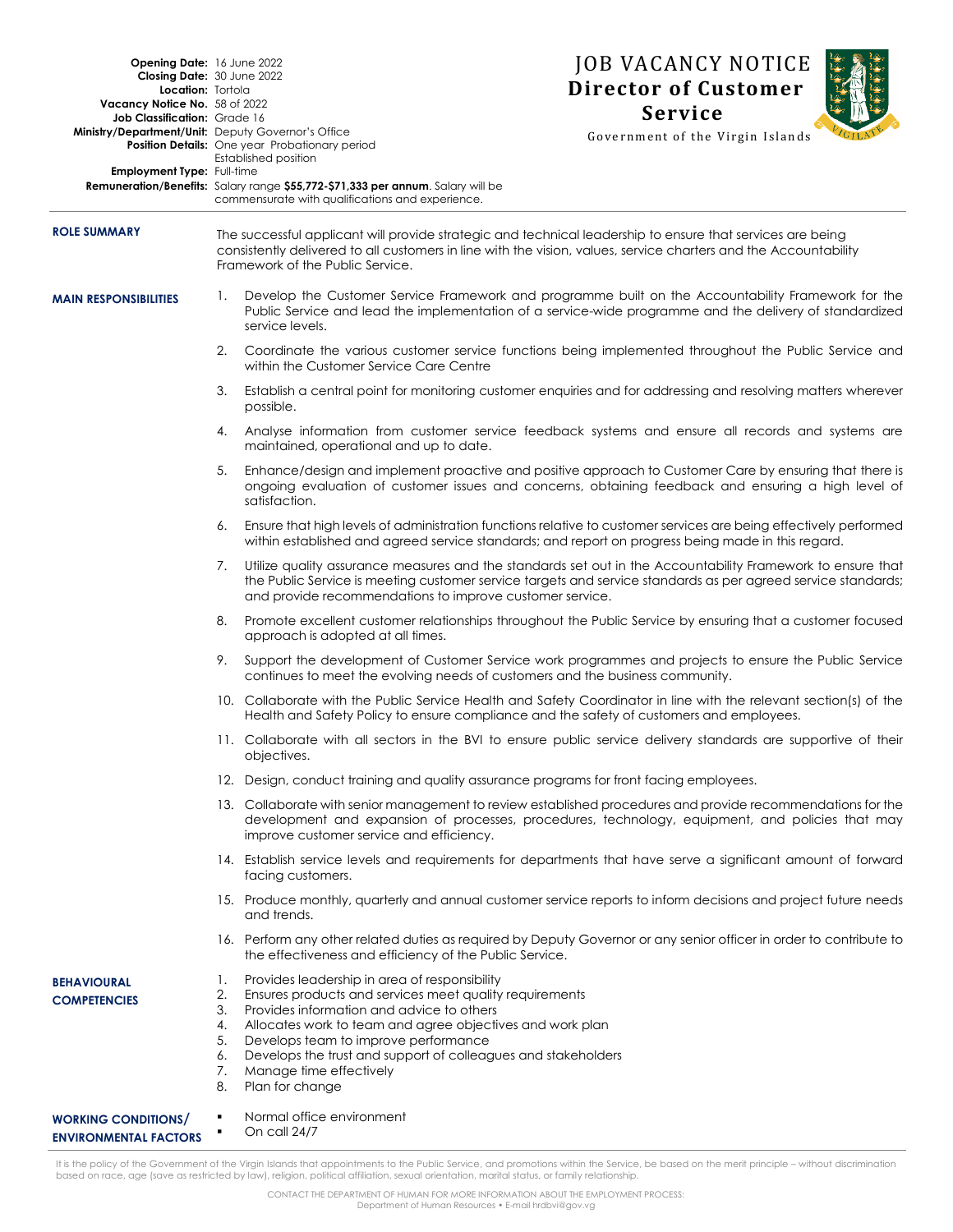| Opening Date: 16 June 2022<br>Closing Date: 30 June 2022<br>Location: Tortola<br>Vacancy Notice No. 58 of 2022<br>Job Classification: Grade 16<br>Ministry/Department/Unit: Deputy Governor's Office<br>Employment Type: Full-time |                                                                                                                                                                                                                                                                    | <b>Position Details:</b> One year Probationary period<br>Established position<br>Remuneration/Benefits: Salary range \$55,772-\$71,333 per annum. Salary will be                                                                                                                                                                                                          | <b>JOB VACANCY NOTICE</b><br><b>Director of Customer</b><br><b>Service</b><br>Government of the Virgin Islands                                                                                                               |  |
|------------------------------------------------------------------------------------------------------------------------------------------------------------------------------------------------------------------------------------|--------------------------------------------------------------------------------------------------------------------------------------------------------------------------------------------------------------------------------------------------------------------|---------------------------------------------------------------------------------------------------------------------------------------------------------------------------------------------------------------------------------------------------------------------------------------------------------------------------------------------------------------------------|------------------------------------------------------------------------------------------------------------------------------------------------------------------------------------------------------------------------------|--|
|                                                                                                                                                                                                                                    |                                                                                                                                                                                                                                                                    | commensurate with qualifications and experience.                                                                                                                                                                                                                                                                                                                          |                                                                                                                                                                                                                              |  |
| <b>ROLE SUMMARY</b>                                                                                                                                                                                                                | The successful applicant will provide strategic and technical leadership to ensure that services are being<br>consistently delivered to all customers in line with the vision, values, service charters and the Accountability<br>Framework of the Public Service. |                                                                                                                                                                                                                                                                                                                                                                           |                                                                                                                                                                                                                              |  |
| <b>MAIN RESPONSIBILITIES</b>                                                                                                                                                                                                       | Ι.                                                                                                                                                                                                                                                                 | service levels.                                                                                                                                                                                                                                                                                                                                                           | Develop the Customer Service Framework and programme built on the Accountability Framework for the<br>Public Service and lead the implementation of a service-wide programme and the delivery of standardized                |  |
|                                                                                                                                                                                                                                    | 2.                                                                                                                                                                                                                                                                 | Coordinate the various customer service functions being implemented throughout the Public Service and<br>within the Customer Service Care Centre                                                                                                                                                                                                                          |                                                                                                                                                                                                                              |  |
|                                                                                                                                                                                                                                    | 3.                                                                                                                                                                                                                                                                 | Establish a central point for monitoring customer enquiries and for addressing and resolving matters wherever<br>possible.                                                                                                                                                                                                                                                |                                                                                                                                                                                                                              |  |
|                                                                                                                                                                                                                                    | 4.                                                                                                                                                                                                                                                                 | Analyse information from customer service feedback systems and ensure all records and systems are<br>maintained, operational and up to date.                                                                                                                                                                                                                              |                                                                                                                                                                                                                              |  |
|                                                                                                                                                                                                                                    | 5.                                                                                                                                                                                                                                                                 | Enhance/design and implement proactive and positive approach to Customer Care by ensuring that there is<br>ongoing evaluation of customer issues and concerns, obtaining feedback and ensuring a high level of<br>satisfaction.                                                                                                                                           |                                                                                                                                                                                                                              |  |
|                                                                                                                                                                                                                                    | 6.                                                                                                                                                                                                                                                                 | within established and agreed service standards; and report on progress being made in this regard.                                                                                                                                                                                                                                                                        | Ensure that high levels of administration functions relative to customer services are being effectively performed                                                                                                            |  |
|                                                                                                                                                                                                                                    | 7.                                                                                                                                                                                                                                                                 | and provide recommendations to improve customer service.                                                                                                                                                                                                                                                                                                                  | Utilize quality assurance measures and the standards set out in the Accountability Framework to ensure that<br>the Public Service is meeting customer service targets and service standards as per agreed service standards; |  |
|                                                                                                                                                                                                                                    | 8.                                                                                                                                                                                                                                                                 | approach is adopted at all times.                                                                                                                                                                                                                                                                                                                                         | Promote excellent customer relationships throughout the Public Service by ensuring that a customer focused                                                                                                                   |  |
|                                                                                                                                                                                                                                    |                                                                                                                                                                                                                                                                    | continues to meet the evolving needs of customers and the business community.                                                                                                                                                                                                                                                                                             | 9. Support the development of Customer Service work programmes and projects to ensure the Public Service                                                                                                                     |  |
|                                                                                                                                                                                                                                    |                                                                                                                                                                                                                                                                    | Health and Safety Policy to ensure compliance and the safety of customers and employees.                                                                                                                                                                                                                                                                                  | 10. Collaborate with the Public Service Health and Safety Coordinator in line with the relevant section(s) of the                                                                                                            |  |
|                                                                                                                                                                                                                                    |                                                                                                                                                                                                                                                                    | objectives.                                                                                                                                                                                                                                                                                                                                                               | 11. Collaborate with all sectors in the BVI to ensure public service delivery standards are supportive of their                                                                                                              |  |
|                                                                                                                                                                                                                                    |                                                                                                                                                                                                                                                                    | 12. Design, conduct training and quality assurance programs for front facing employees.                                                                                                                                                                                                                                                                                   |                                                                                                                                                                                                                              |  |
|                                                                                                                                                                                                                                    |                                                                                                                                                                                                                                                                    | improve customer service and efficiency.                                                                                                                                                                                                                                                                                                                                  | 13. Collaborate with senior management to review established procedures and provide recommendations for the<br>development and expansion of processes, procedures, technology, equipment, and policies that may              |  |
|                                                                                                                                                                                                                                    |                                                                                                                                                                                                                                                                    | facing customers.                                                                                                                                                                                                                                                                                                                                                         | 14. Establish service levels and requirements for departments that have serve a significant amount of forward                                                                                                                |  |
|                                                                                                                                                                                                                                    |                                                                                                                                                                                                                                                                    | and trends.                                                                                                                                                                                                                                                                                                                                                               | 15. Produce monthly, quarterly and annual customer service reports to inform decisions and project future needs                                                                                                              |  |
|                                                                                                                                                                                                                                    |                                                                                                                                                                                                                                                                    | the effectiveness and efficiency of the Public Service.                                                                                                                                                                                                                                                                                                                   | 16. Perform any other related duties as required by Deputy Governor or any senior officer in order to contribute to                                                                                                          |  |
| <b>BEHAVIOURAL</b><br><b>COMPETENCIES</b>                                                                                                                                                                                          | Ι.<br>2.<br>3.<br>4.<br>5.<br>6.<br>7.<br>8.                                                                                                                                                                                                                       | Provides leadership in area of responsibility<br>Ensures products and services meet quality requirements<br>Provides information and advice to others<br>Allocates work to team and agree objectives and work plan<br>Develops team to improve performance<br>Develops the trust and support of colleagues and stakeholders<br>Manage time effectively<br>Plan for change |                                                                                                                                                                                                                              |  |
| <b>WORKING CONDITIONS/</b><br><b>ENVIRONMENTAL FACTORS</b>                                                                                                                                                                         |                                                                                                                                                                                                                                                                    | Normal office environment<br>On call 24/7                                                                                                                                                                                                                                                                                                                                 |                                                                                                                                                                                                                              |  |

It is the policy of the Government of the Virgin Islands that appointments to the Public Service, and promotions within the Service, be based on the merit principle – without discrimination<br>based on race, age (save as rest